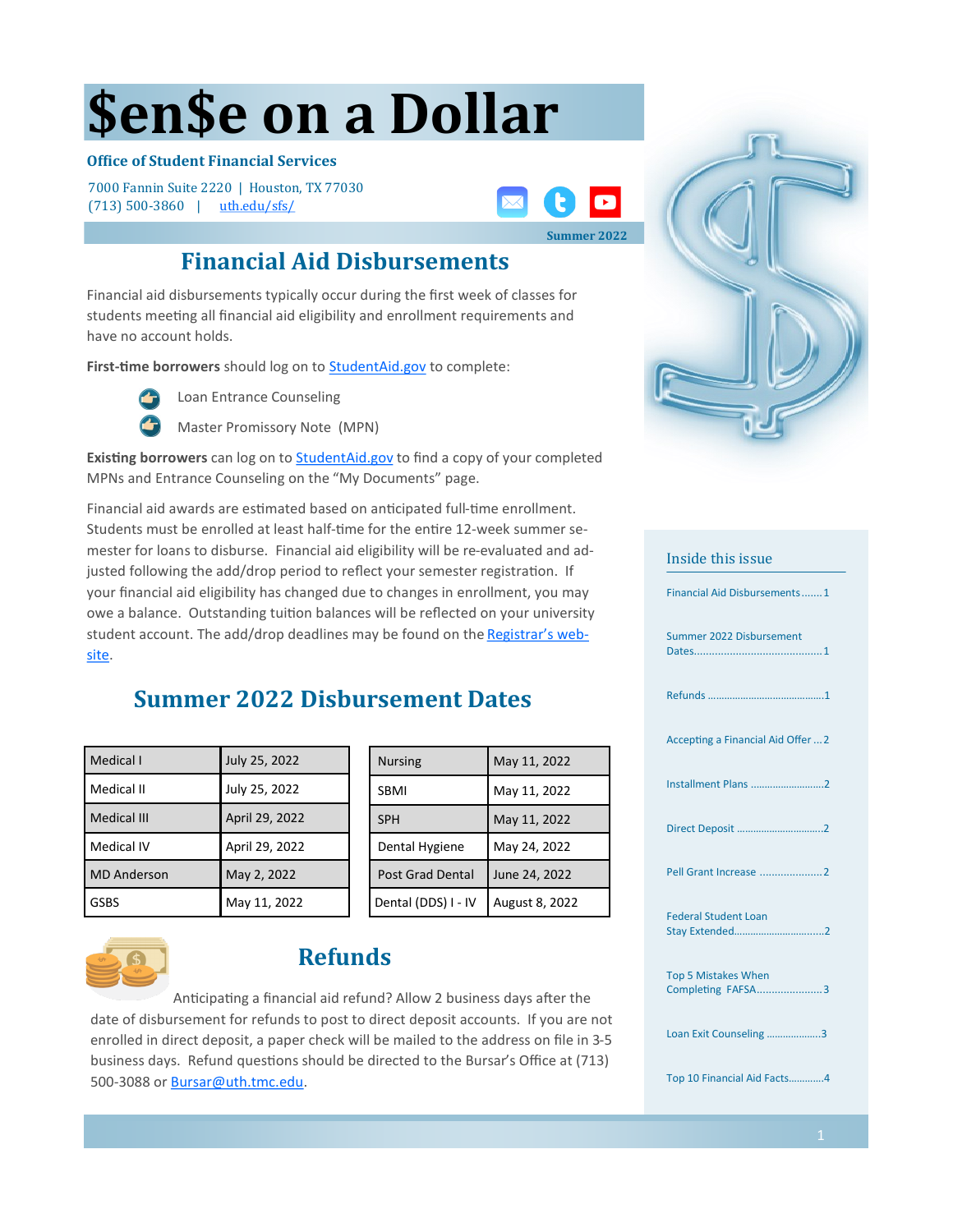# **\$en\$e on a Dollar**

### **Office of Student Financial Services**

7000 Fannin Suite 2220 | Houston, TX 77030 (713) 500-3860 | [uth.edu/sfs/](https://www.uth.edu/sfs/)



### **Financial Aid Disbursements**

Financial aid disbursements typically occur during the first week of classes for students meeting all financial aid eligibility and enrollment requirements and have no account holds.

First-time borrowers should log on to **[StudentAid.gov](https://studentaid.gov/)** to complete:



Loan Entrance Counseling

Master Promissory Note (MPN)

**Existing borrowers** can log on to **StudentAid.gov** to find a copy of your completed MPNs and Entrance Counseling on the "My Documents" page.

Financial aid awards are estimated based on anticipated full-time enrollment. Students must be enrolled at least half-time for the entire 12-week summer semester for loans to disburse. Financial aid eligibility will be re-evaluated and adjusted following the add/drop period to reflect your semester registration. If your financial aid eligibility has changed due to changes in enrollment, you may owe a balance. Outstanding tuition balances will be reflected on your university student account. The add/drop deadlines may be found on the [Registrar](https://www.uth.edu/registrar/current-students/student-information/academic-calendar.htm)'s web[site.](https://www.uth.edu/registrar/current-students/student-information/academic-calendar.htm) 

### **Summer 2022 Disbursement Dates**

| Medical I          | July 25, 2022  |
|--------------------|----------------|
| Medical II         | July 25, 2022  |
| Medical III        | April 29, 2022 |
| Medical IV         | April 29, 2022 |
| <b>MD</b> Anderson | May 2, 2022    |
| GSBS               | May 11, 2022   |

| <b>Nursing</b>          | May 11, 2022   |
|-------------------------|----------------|
| <b>SBMI</b>             | May 11, 2022   |
| <b>SPH</b>              | May 11, 2022   |
| Dental Hygiene          | May 24, 2022   |
| <b>Post Grad Dental</b> | June 24, 2022  |
| Dental (DDS) I - IV     | August 8, 2022 |



### **Refunds**

Anticipating a financial aid refund? Allow 2 business days after the date of disbursement for refunds to post to direct deposit accounts. If you are not enrolled in direct deposit, a paper check will be mailed to the address on file in 3-5 business days. Refund questions should be directed to the Bursar's Office at (713) 500-3088 or Bursar@uth.tmc.edu.



## Inside this issue Financial Aid Disbursements.......1 Summer 2022 Disbursement Dates...........................................1 Refunds …………………………………….1 Accepting a Financial Aid Offer ...2 Installment Plans ..…………………….2 Direct Deposit …………………………..2 Pell Grant Increase .....................2 Federal Student Loan Stay Extended………………………......2 Top 5 Mistakes When Completing FAFSA......................3 Loan Exit Counseling ....... Top 10 Financial Aid Facts………….4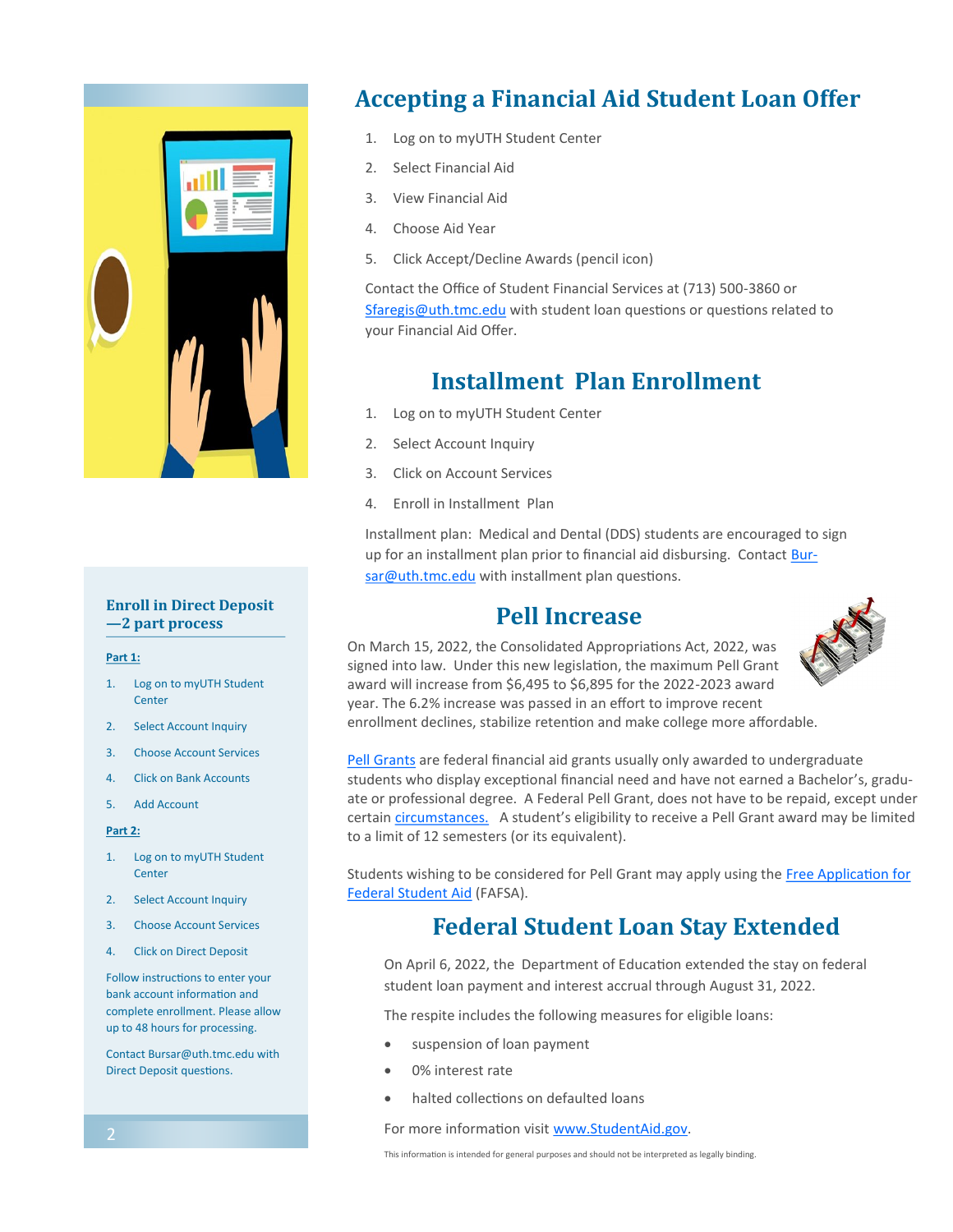

### **Enroll in Direct Deposit —2 part process**

#### **Part 1:**

- 1. Log on to myUTH Student **Center**
- 2. Select Account Inquiry
- 3. Choose Account Services
- 4. Click on Bank Accounts
- 5. Add Account

#### **Part 2:**

- 1. Log on to myUTH Student **Center**
- 2. Select Account Inquiry
- 3. Choose Account Services
- 4. Click on Direct Deposit

Follow instructions to enter your bank account information and complete enrollment. Please allow up to 48 hours for processing.

Contact Bursar@uth.tmc.edu with Direct Deposit questions.

### **Accepting a Financial Aid Student Loan Offer**

- 1. Log on to myUTH Student Center
- 2. Select Financial Aid
- 3. View Financial Aid
- 4. Choose Aid Year
- 5. Click Accept/Decline Awards (pencil icon)

Contact the Office of Student Financial Services at (713) 500-3860 or [Sfaregis@uth.tmc.edu](mailto:Sfaregis@uth.tmc.edu) with student loan questions or questions related to your Financial Aid Offer.

### **Installment Plan Enrollment**

- 1. Log on to myUTH Student Center
- 2. Select Account Inquiry
- 3. Click on Account Services
- 4. Enroll in Installment Plan

Installment plan: Medical and Dental (DDS) students are encouraged to sign up for an installment plan prior to financial aid disbursing. Contact [Bur](mailto:bursar@uth.tmc.edu)[sar@uth.tmc.edu](mailto:bursar@uth.tmc.edu) with installment plan questions.

### **Pell Increase**

On March 15, 2022, the Consolidated Appropriations Act, 2022, was signed into law. Under this new legislation, the maximum Pell Grant award will increase from \$6,495 to \$6,895 for the 2022-2023 award year. The 6.2% increase was passed in an effort to improve recent enrollment declines, stabilize retention and make college more affordable.



[Pell Grants](https://studentaid.gov/understand-aid/types/grants/pell) are federal financial aid grants usually only awarded to undergraduate students who display exceptional financial need and have not earned a Bachelor's, graduate or professional degree. A Federal Pell Grant, does not have to be repaid, except under certain [circumstances.](https://studentaid.gov/understand-aid/types/grants) A student's eligibility to receive a Pell Grant award may be limited to a limit of 12 semesters (or its equivalent).

Students wishing to be considered for Pell Grant may apply using the [Free Application for](https://studentaid.gov/h/apply-for-aid/fafsa)  [Federal Student Aid](https://studentaid.gov/h/apply-for-aid/fafsa) (FAFSA).

### **Federal Student Loan Stay Extended**

On April 6, 2022, the Department of Education extended the stay on federal student loan payment and interest accrual through August 31, 2022.

The respite includes the following measures for eligible loans:

- suspension of loan payment
- 0% interest rate
- halted collections on defaulted loans

For more information visit [www.StudentAid.gov.](https://studentaid.gov/announcements-events/covid-19)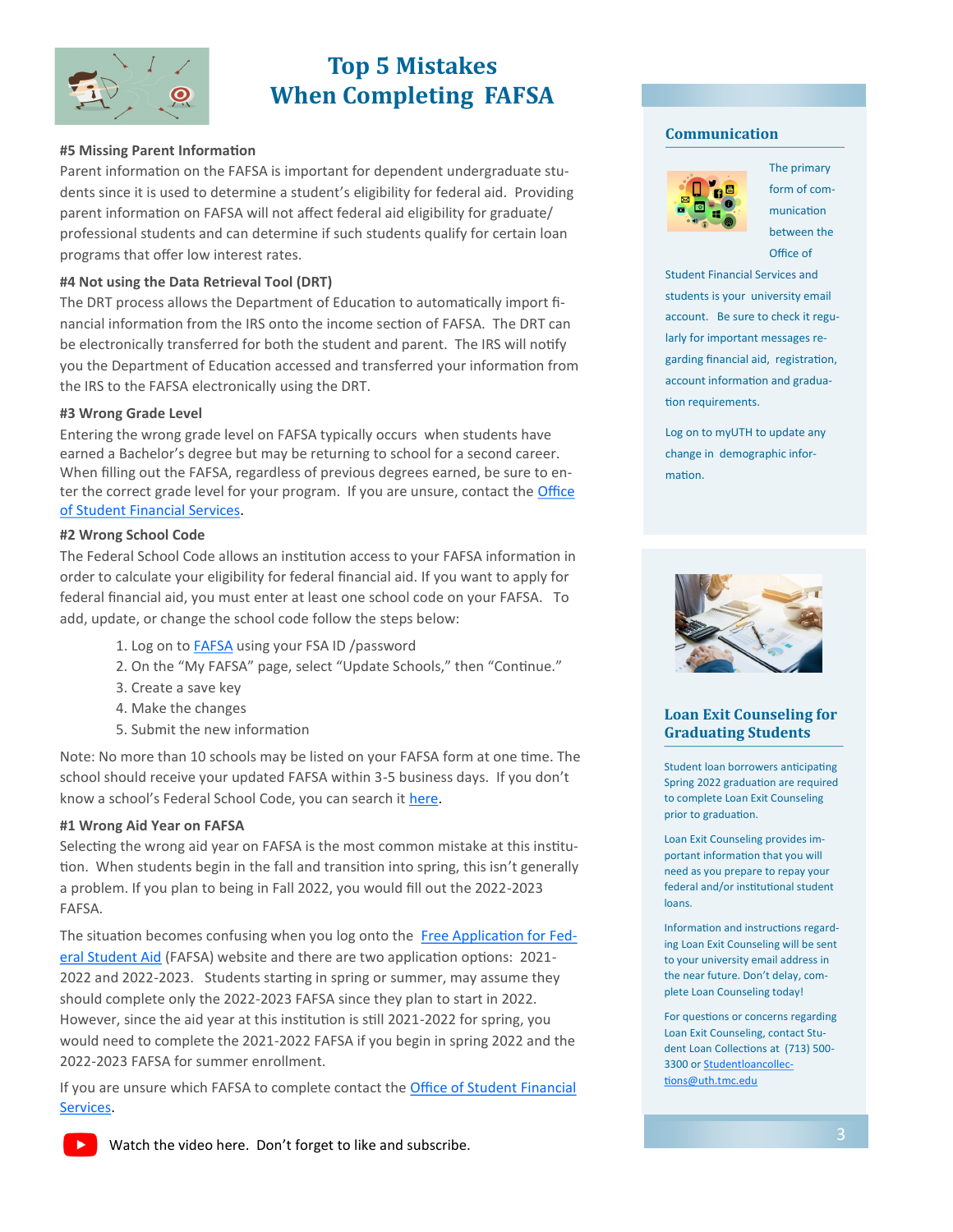

### **Top 5 Mistakes When Completing FAFSA**

#### **#5 Missing Parent Information**

Parent information on the FAFSA is important for dependent undergraduate students since it is used to determine a student's eligibility for federal aid. Providing parent information on FAFSA will not affect federal aid eligibility for graduate/ professional students and can determine if such students qualify for certain loan programs that offer low interest rates.

### **#4 Not using the Data Retrieval Tool (DRT)**

The DRT process allows the Department of Education to automatically import financial information from the IRS onto the income section of FAFSA. The DRT can be electronically transferred for both the student and parent. The IRS will notify you the Department of Education accessed and transferred your information from the IRS to the FAFSA electronically using the DRT.

#### **#3 Wrong Grade Level**

Entering the wrong grade level on FAFSA typically occurs when students have earned a Bachelor's degree but may be returning to school for a second career. When filling out the FAFSA, regardless of previous degrees earned, be sure to enter the correct grade level for your program. If you are unsure, contact the Office [of Student Financial Services.](https://www.uth.edu/sfs/contact.htm) 

#### **#2 Wrong School Code**

The Federal School Code allows an institution access to your FAFSA information in order to calculate your eligibility for federal financial aid. If you want to apply for federal financial aid, you must enter at least one school code on your FAFSA. To add, update, or change the school code follow the steps below:

- 1. Log on to [FAFSA](https://studentaid.gov/h/apply-for-aid/fafsa) using your FSA ID /password
- 2. On the "My FAFSA" page, select "Update Schools," then "Continue."
- 3. Create a save key
- 4. Make the changes
- 5. Submit the new information

Note: No more than 10 schools may be listed on your FAFSA form at one time. The school should receive your updated FAFSA within 3-5 business days. If you don't know a school's Federal School Code, you can search it [here.](https://studentaid.gov/fafsa-app/FSCsearch)

#### **#1 Wrong Aid Year on FAFSA**

Selecting the wrong aid year on FAFSA is the most common mistake at this institution. When students begin in the fall and transition into spring, this isn't generally a problem. If you plan to being in Fall 2022, you would fill out the 2022-2023 FAFSA.

The situation becomes confusing when you log onto the [Free Application for Fed](https://studentaid.gov/h/apply-for-aid/fafsa)[eral Student Aid](https://studentaid.gov/h/apply-for-aid/fafsa) (FAFSA) website and there are two application options: 2021-2022 and 2022-2023. Students starting in spring or summer, may assume they should complete only the 2022-2023 FAFSA since they plan to start in 2022. However, since the aid year at this institution is still 2021-2022 for spring, you would need to complete the 2021-2022 FAFSA if you begin in spring 2022 and the 2022-2023 FAFSA for summer enrollment.

If you are unsure which FAFSA to complete contact the [Office of Student Financial](https://www.uth.edu/sfs/contact.htm)  [Services.](https://www.uth.edu/sfs/contact.htm) 

#### **Communication**



The primary form of communication between the Office of

Student Financial Services and students is your university email account. Be sure to check it regularly for important messages regarding financial aid, registration, account information and graduation requirements.

Log on to myUTH to update any change in demographic information.



### **Loan Exit Counseling for Graduating Students**

Student loan borrowers anticipating Spring 2022 graduation are required to complete Loan Exit Counseling prior to graduation.

Loan Exit Counseling provides important information that you will need as you prepare to repay your federal and/or institutional student loans.

Information and instructions regarding Loan Exit Counseling will be sent to your university email address in the near future. Don't delay, complete Loan Counseling today!

For questions or concerns regarding Loan Exit Counseling, contact Student Loan Collections at (713) 500- 3300 or [Studentloancollec](mailto:Studentloancollections@uth.tmc.edu)[tions@uth.tmc.edu](mailto:Studentloancollections@uth.tmc.edu)